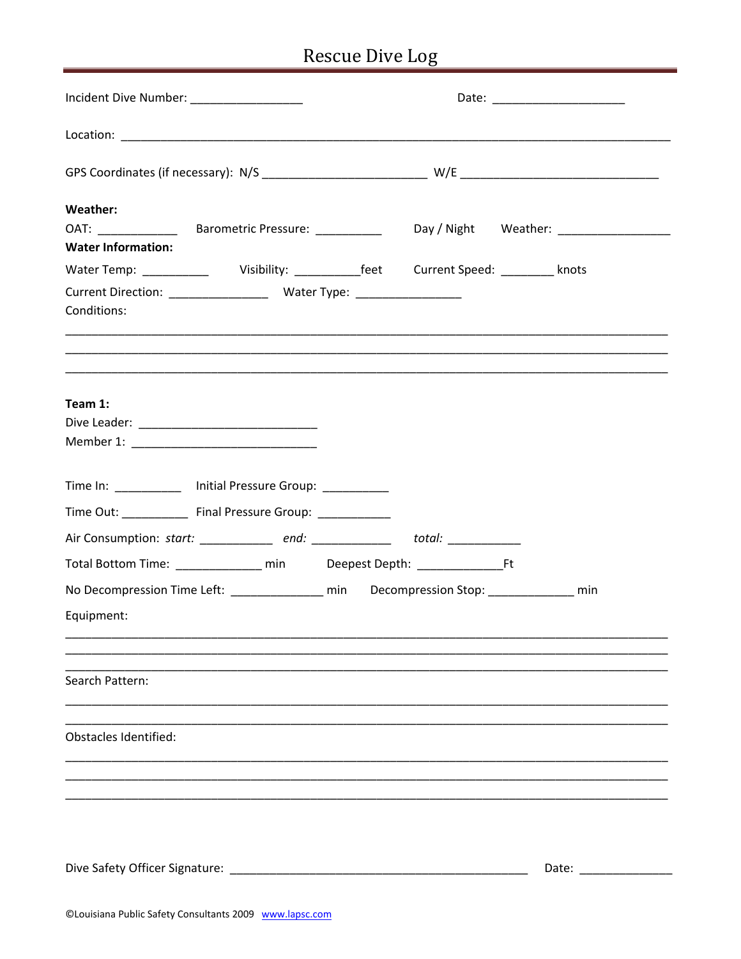## Rescue Dive Log

| Incident Dive Number: ___________________                                                                                                                   | Date: ________________________                                                                   |
|-------------------------------------------------------------------------------------------------------------------------------------------------------------|--------------------------------------------------------------------------------------------------|
|                                                                                                                                                             |                                                                                                  |
|                                                                                                                                                             |                                                                                                  |
| Weather:<br><b>Water Information:</b>                                                                                                                       |                                                                                                  |
| Conditions:                                                                                                                                                 | Water Temp: _____________ Visibility: ___________feet Current Speed: _________ knots             |
| Team 1:                                                                                                                                                     |                                                                                                  |
| Time In: _____________ Initial Pressure Group: __________<br>Time Out: ______________ Final Pressure Group: ____________                                    |                                                                                                  |
| Air Consumption: start: __________ end: ___________ total: __________<br>Total Bottom Time: ______________ min Deepest Depth: _____________________________ |                                                                                                  |
| Equipment:                                                                                                                                                  | No Decompression Time Left: ____________________ min Decompression Stop: ___________________ min |
| Search Pattern:                                                                                                                                             |                                                                                                  |
| <b>Obstacles Identified:</b>                                                                                                                                |                                                                                                  |
|                                                                                                                                                             |                                                                                                  |